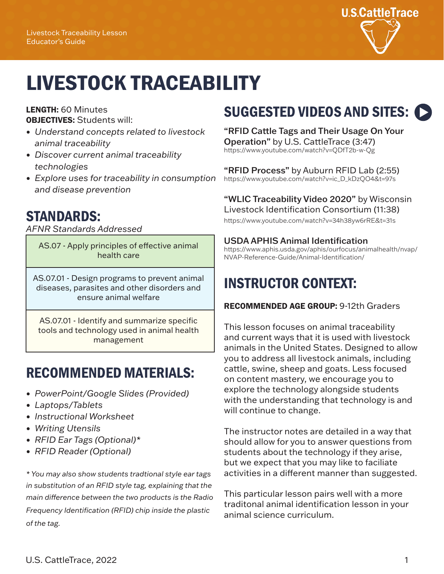

# LIVESTOCK TRACEABILITY

#### LENGTH: 60 Minutes OBJECTIVES: Students will:

- *• Understand concepts related to livestock animal traceability*
- *• Discover current animal traceability technologies*
- *• Explore uses for traceability in consumption and disease prevention*

## STANDARDS:

*AFNR Standards Addressed*

AS.07 - Apply principles of effective animal health care

AS.07.01 - Design programs to prevent animal diseases, parasites and other disorders and ensure animal welfare

AS.07.01 - Identify and summarize specific tools and technology used in animal health management

## RECOMMENDED MATERIALS:

- *• PowerPoint/Google Slides (Provided)*
- *• Laptops/Tablets*
- *• Instructional Worksheet*
- *• Writing Utensils*
- *• RFID Ear Tags (Optional)\**
- *• RFID Reader (Optional)*

*\* You may also show students tradtional style ear tags in substitution of an RFID style tag, explaining that the main difference between the two products is the Radio Frequency Identification (RFID) chip inside the plastic of the tag.*

# SUGGESTED VIDEOS AND SITES:

"RFID Cattle Tags and Their Usage On Your Operation" by U.S. CattleTrace (3:47) <https://www.youtube.com/watch?v=QDfT2b-w-Qg>

"RFID Process" by Auburn RFID Lab (2:55) [https://www.youtube.com/watch?v=ic\\_D\\_kDzQO4&t=97s](https://www.youtube.com/watch?v=ic_D_kDzQO4&t=97s)

## "WLIC Traceability Video 2020" by Wisconsin

Livestock Identification Consortium (11:38)

<https://www.youtube.com/watch?v=34h38yw6rRE&t=31s>

### USDA APHIS Animal Identification

[https://www.aphis.usda.gov/aphis/ourfocus/animalhealth/nvap/](https://www.aphis.usda.gov/aphis/ourfocus/animalhealth/nvap/NVAP-Reference-Guide/Animal-Identification/) NVAP-Reference-Guide/Animal-Identification/

## INSTRUCTOR CONTEXT:

### RECOMMENDED AGE GROUP: 9-12th Graders

This lesson focuses on animal traceability and current ways that it is used with livestock animals in the United States. Designed to allow you to address all livestock animals, including cattle, swine, sheep and goats. Less focused on content mastery, we encourage you to explore the technology alongside students with the understanding that technology is and will continue to change.

The instructor notes are detailed in a way that should allow for you to answer questions from students about the technology if they arise, but we expect that you may like to faciliate activities in a different manner than suggested.

This particular lesson pairs well with a more traditonal animal identification lesson in your animal science curriculum.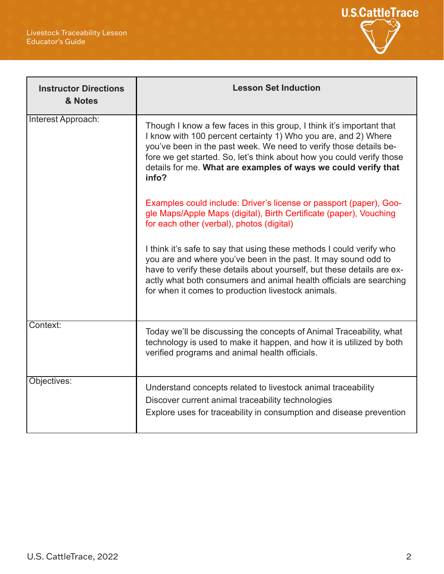

| <b>Instructor Directions</b><br>& Notes | <b>Lesson Set Induction</b>                                                                                                                                                                                                                                                                                                                                     |  |
|-----------------------------------------|-----------------------------------------------------------------------------------------------------------------------------------------------------------------------------------------------------------------------------------------------------------------------------------------------------------------------------------------------------------------|--|
| Interest Approach:                      | Though I know a few faces in this group, I think it's important that<br>I know with 100 percent certainty 1) Who you are, and 2) Where<br>you've been in the past week. We need to verify those details be-<br>fore we get started. So, let's think about how you could verify those<br>details for me. What are examples of ways we could verify that<br>info? |  |
|                                         | Examples could include: Driver's license or passport (paper), Goo-<br>gle Maps/Apple Maps (digital), Birth Certificate (paper), Vouching<br>for each other (verbal), photos (digital)                                                                                                                                                                           |  |
|                                         | I think it's safe to say that using these methods I could verify who<br>you are and where you've been in the past. It may sound odd to<br>have to verify these details about yourself, but these details are ex-<br>actly what both consumers and animal health officials are searching<br>for when it comes to production livestock animals.                   |  |
| Context:                                | Today we'll be discussing the concepts of Animal Traceability, what<br>technology is used to make it happen, and how it is utilized by both<br>verified programs and animal health officials.                                                                                                                                                                   |  |
| Objectives:                             | Understand concepts related to livestock animal traceability<br>Discover current animal traceability technologies<br>Explore uses for traceability in consumption and disease prevention                                                                                                                                                                        |  |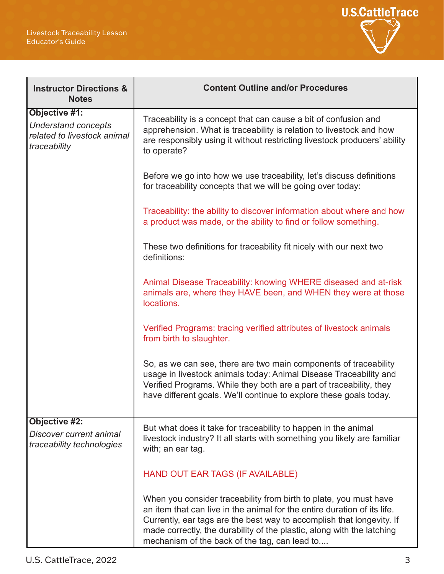

| <b>Instructor Directions &amp;</b><br><b>Notes</b>                                         | <b>Content Outline and/or Procedures</b>                                                                                                                                                                                                                                                                                                          |  |  |  |
|--------------------------------------------------------------------------------------------|---------------------------------------------------------------------------------------------------------------------------------------------------------------------------------------------------------------------------------------------------------------------------------------------------------------------------------------------------|--|--|--|
| Objective #1:<br><b>Understand concepts</b><br>related to livestock animal<br>traceability | Traceability is a concept that can cause a bit of confusion and<br>apprehension. What is traceability is relation to livestock and how<br>are responsibly using it without restricting livestock producers' ability<br>to operate?                                                                                                                |  |  |  |
|                                                                                            | Before we go into how we use traceability, let's discuss definitions<br>for traceability concepts that we will be going over today:                                                                                                                                                                                                               |  |  |  |
|                                                                                            | Traceability: the ability to discover information about where and how<br>a product was made, or the ability to find or follow something.                                                                                                                                                                                                          |  |  |  |
|                                                                                            | These two definitions for traceability fit nicely with our next two<br>definitions:                                                                                                                                                                                                                                                               |  |  |  |
|                                                                                            | Animal Disease Traceability: knowing WHERE diseased and at-risk<br>animals are, where they HAVE been, and WHEN they were at those<br>locations.                                                                                                                                                                                                   |  |  |  |
|                                                                                            | Verified Programs: tracing verified attributes of livestock animals<br>from birth to slaughter.                                                                                                                                                                                                                                                   |  |  |  |
|                                                                                            | So, as we can see, there are two main components of traceability<br>usage in livestock animals today: Animal Disease Traceability and<br>Verified Programs. While they both are a part of traceability, they<br>have different goals. We'll continue to explore these goals today.                                                                |  |  |  |
| <b>Objective #2:</b><br>Discover current animal<br>traceability technologies               | But what does it take for traceability to happen in the animal<br>livestock industry? It all starts with something you likely are familiar<br>with; an ear tag.                                                                                                                                                                                   |  |  |  |
|                                                                                            | HAND OUT EAR TAGS (IF AVAILABLE)                                                                                                                                                                                                                                                                                                                  |  |  |  |
|                                                                                            | When you consider traceability from birth to plate, you must have<br>an item that can live in the animal for the entire duration of its life.<br>Currently, ear tags are the best way to accomplish that longevity. If<br>made correctly, the durability of the plastic, along with the latching<br>mechanism of the back of the tag, can lead to |  |  |  |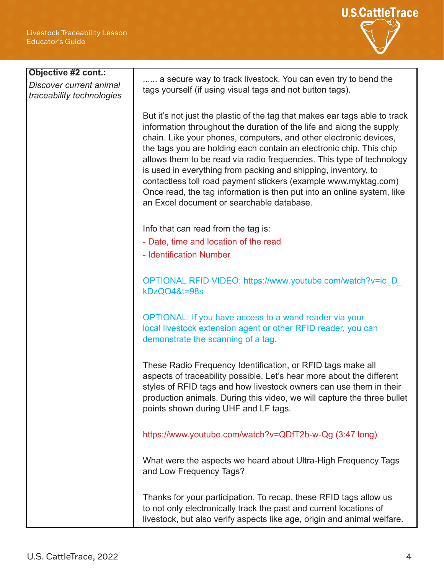

| Objective #2 cont.:       |                                                                                                                                         |  |  |  |  |  |
|---------------------------|-----------------------------------------------------------------------------------------------------------------------------------------|--|--|--|--|--|
| Discover current animal   | a secure way to track livestock. You can even try to bend the                                                                           |  |  |  |  |  |
| traceability technologies | tags yourself (if using visual tags and not button tags).                                                                               |  |  |  |  |  |
|                           |                                                                                                                                         |  |  |  |  |  |
|                           | But it's not just the plastic of the tag that makes ear tags able to track                                                              |  |  |  |  |  |
|                           | information throughout the duration of the life and along the supply                                                                    |  |  |  |  |  |
|                           | chain. Like your phones, computers, and other electronic devices,                                                                       |  |  |  |  |  |
|                           | the tags you are holding each contain an electronic chip. This chip                                                                     |  |  |  |  |  |
|                           | allows them to be read via radio frequencies. This type of technology<br>is used in everything from packing and shipping, inventory, to |  |  |  |  |  |
|                           | contactless toll road payment stickers (example www.myktag.com)                                                                         |  |  |  |  |  |
|                           | Once read, the tag information is then put into an online system, like                                                                  |  |  |  |  |  |
|                           | an Excel document or searchable database.                                                                                               |  |  |  |  |  |
|                           |                                                                                                                                         |  |  |  |  |  |
|                           | Info that can read from the tag is:<br>- Date, time and location of the read                                                            |  |  |  |  |  |
|                           |                                                                                                                                         |  |  |  |  |  |
|                           | - Identification Number                                                                                                                 |  |  |  |  |  |
|                           |                                                                                                                                         |  |  |  |  |  |
|                           | OPTIONAL RFID VIDEO: https://www.youtube.com/watch?v=ic D                                                                               |  |  |  |  |  |
|                           | kDzQO4&t=98s                                                                                                                            |  |  |  |  |  |
|                           |                                                                                                                                         |  |  |  |  |  |
|                           | OPTIONAL: If you have access to a wand reader via your                                                                                  |  |  |  |  |  |
|                           | local livestock extension agent or other RFID reader, you can<br>demonstrate the scanning of a tag.                                     |  |  |  |  |  |
|                           |                                                                                                                                         |  |  |  |  |  |
|                           | These Radio Frequency Identification, or RFID tags make all                                                                             |  |  |  |  |  |
|                           | aspects of traceability possible. Let's hear more about the different                                                                   |  |  |  |  |  |
|                           | styles of RFID tags and how livestock owners can use them in their                                                                      |  |  |  |  |  |
|                           | production animals. During this video, we will capture the three bullet                                                                 |  |  |  |  |  |
|                           | points shown during UHF and LF tags.                                                                                                    |  |  |  |  |  |
|                           |                                                                                                                                         |  |  |  |  |  |
|                           | https://www.youtube.com/watch?v=QDfT2b-w-Qg (3:47 long)                                                                                 |  |  |  |  |  |
|                           |                                                                                                                                         |  |  |  |  |  |
|                           | What were the aspects we heard about Ultra-High Frequency Tags<br>and Low Frequency Tags?                                               |  |  |  |  |  |
|                           |                                                                                                                                         |  |  |  |  |  |
|                           | Thanks for your participation. To recap, these RFID tags allow us                                                                       |  |  |  |  |  |
|                           | to not only electronically track the past and current locations of                                                                      |  |  |  |  |  |
|                           | livestock, but also verify aspects like age, origin and animal welfare.                                                                 |  |  |  |  |  |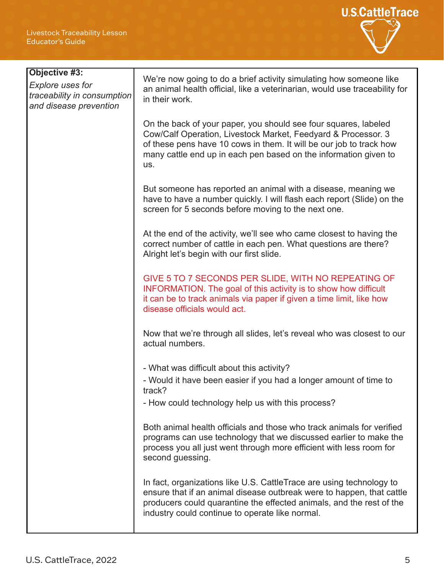

| Objective #3:<br><b>Explore uses for</b><br>traceability in consumption<br>and disease prevention | We're now going to do a brief activity simulating how someone like<br>an animal health official, like a veterinarian, would use traceability for<br>in their work.                                                                                                                 |  |
|---------------------------------------------------------------------------------------------------|------------------------------------------------------------------------------------------------------------------------------------------------------------------------------------------------------------------------------------------------------------------------------------|--|
|                                                                                                   | On the back of your paper, you should see four squares, labeled<br>Cow/Calf Operation, Livestock Market, Feedyard & Processor. 3<br>of these pens have 10 cows in them. It will be our job to track how<br>many cattle end up in each pen based on the information given to<br>US. |  |
|                                                                                                   | But someone has reported an animal with a disease, meaning we<br>have to have a number quickly. I will flash each report (Slide) on the<br>screen for 5 seconds before moving to the next one.                                                                                     |  |
|                                                                                                   | At the end of the activity, we'll see who came closest to having the<br>correct number of cattle in each pen. What questions are there?<br>Alright let's begin with our first slide.                                                                                               |  |
|                                                                                                   | GIVE 5 TO 7 SECONDS PER SLIDE, WITH NO REPEATING OF<br><b>INFORMATION.</b> The goal of this activity is to show how difficult<br>it can be to track animals via paper if given a time limit, like how<br>disease officials would act.                                              |  |
|                                                                                                   | Now that we're through all slides, let's reveal who was closest to our<br>actual numbers.                                                                                                                                                                                          |  |
|                                                                                                   | - What was difficult about this activity?                                                                                                                                                                                                                                          |  |
|                                                                                                   | - Would it have been easier if you had a longer amount of time to<br>track?                                                                                                                                                                                                        |  |
|                                                                                                   | - How could technology help us with this process?                                                                                                                                                                                                                                  |  |
|                                                                                                   | Both animal health officials and those who track animals for verified<br>programs can use technology that we discussed earlier to make the<br>process you all just went through more efficient with less room for<br>second guessing.                                              |  |
|                                                                                                   | In fact, organizations like U.S. CattleTrace are using technology to<br>ensure that if an animal disease outbreak were to happen, that cattle<br>producers could quarantine the effected animals, and the rest of the<br>industry could continue to operate like normal.           |  |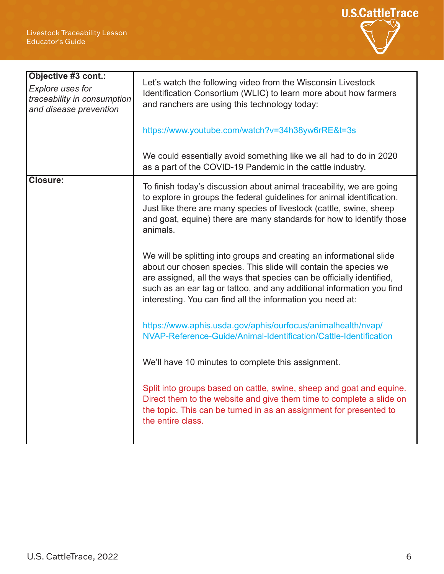

| Objective #3 cont.:<br><b>Explore uses for</b><br>traceability in consumption<br>and disease prevention | Let's watch the following video from the Wisconsin Livestock<br>Identification Consortium (WLIC) to learn more about how farmers<br>and ranchers are using this technology today:<br>https://www.youtube.com/watch?v=34h38yw6rRE&t=3s                                                                                                                    |  |
|---------------------------------------------------------------------------------------------------------|----------------------------------------------------------------------------------------------------------------------------------------------------------------------------------------------------------------------------------------------------------------------------------------------------------------------------------------------------------|--|
|                                                                                                         | We could essentially avoid something like we all had to do in 2020<br>as a part of the COVID-19 Pandemic in the cattle industry.                                                                                                                                                                                                                         |  |
| <b>Closure:</b>                                                                                         | To finish today's discussion about animal traceability, we are going<br>to explore in groups the federal guidelines for animal identification.<br>Just like there are many species of livestock (cattle, swine, sheep<br>and goat, equine) there are many standards for how to identify those<br>animals.                                                |  |
|                                                                                                         | We will be splitting into groups and creating an informational slide<br>about our chosen species. This slide will contain the species we<br>are assigned, all the ways that species can be officially identified,<br>such as an ear tag or tattoo, and any additional information you find<br>interesting. You can find all the information you need at: |  |
|                                                                                                         | https://www.aphis.usda.gov/aphis/ourfocus/animalhealth/nvap/<br>NVAP-Reference-Guide/Animal-Identification/Cattle-Identification                                                                                                                                                                                                                         |  |
|                                                                                                         | We'll have 10 minutes to complete this assignment.                                                                                                                                                                                                                                                                                                       |  |
|                                                                                                         | Split into groups based on cattle, swine, sheep and goat and equine.<br>Direct them to the website and give them time to complete a slide on<br>the topic. This can be turned in as an assignment for presented to<br>the entire class.                                                                                                                  |  |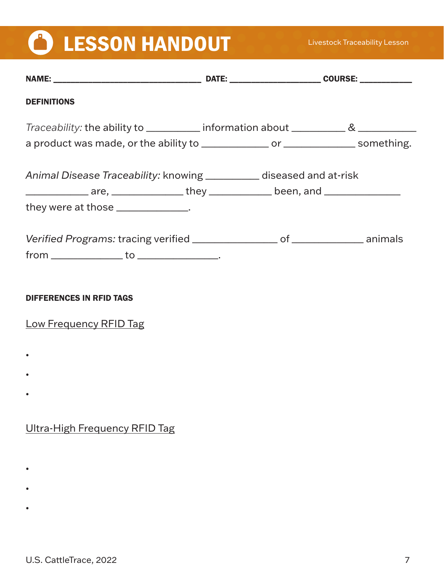# **CON LESSON HANDOUT**

| <b>DEFINITIONS</b>                                                                                                                                               |  |
|------------------------------------------------------------------------------------------------------------------------------------------------------------------|--|
| Traceability: the ability to ___________ information about ______________________                                                                                |  |
| a product was made, or the ability to _______________ or ________________ something.                                                                             |  |
| Animal Disease Traceability: knowing ___________ diseased and at-risk<br>________________ are, _________________ they _______________ been, and ________________ |  |
| they were at those ______________.                                                                                                                               |  |
| Verified Programs: tracing verified __________________ of _______________ animals<br>$from _______ to _______$ .                                                 |  |
| <b>DIFFERENCES IN RFID TAGS</b>                                                                                                                                  |  |
| <b>Low Frequency RFID Tag</b>                                                                                                                                    |  |
|                                                                                                                                                                  |  |
|                                                                                                                                                                  |  |
|                                                                                                                                                                  |  |
| <b>Ultra-High Frequency RFID Tag</b>                                                                                                                             |  |
|                                                                                                                                                                  |  |
|                                                                                                                                                                  |  |

•